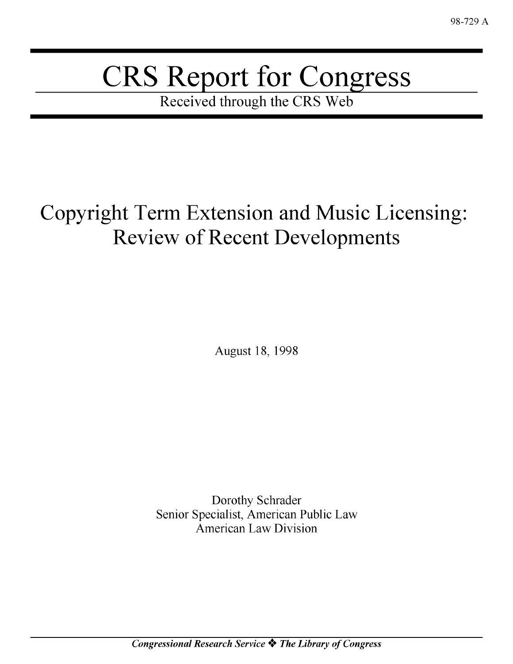# CRS Report for Congress

Received through the CRS Web

## Copyright Term Extension and Music Licensing: Review of Recent Developments

August 18, 1998

Dorothy Schrader Senior Specialist, American Public Law American Law Division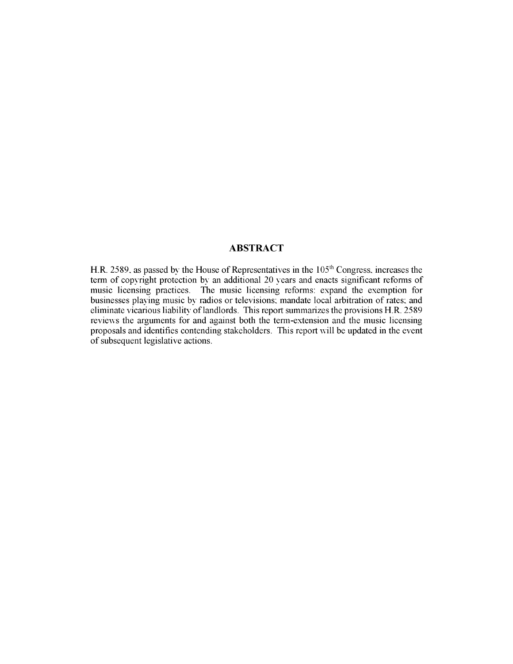#### **ABSTRACT**

H.R. 2589, as passed by the House of Representatives in the 105<sup>th</sup> Congress, increases the term of copyright protection by an additional 20 years and enacts significant reforms of music licensing practices. The music licensing reforms: expand the exemption for businesses playing music by radios or televisions, mandate local arbitration of rates, and eliminate vicarious liability of landlords. This report summarizes the provisions H.R. 2589 reviews the arguments for and against both the term-extension and the music licensing proposals and identifies contending stakeholders. This report will be updated in the event of subsequent legislative actions.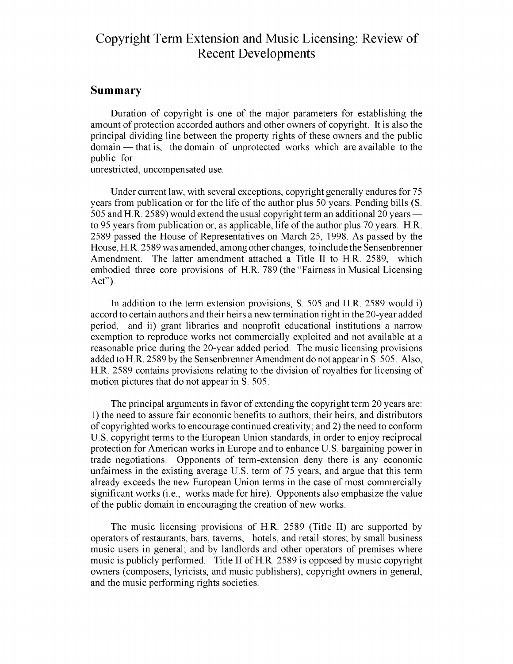#### Copyright Term Extension and Music Licensing: Review of Recent Developments

#### Summary

Duration of copyright is one of the major parameters for establishing the amount of protection accorded authors and other owners of copyright. It is also the principal dividing line between the property rights of these owners and the public domain — that is, the domain of unprotected works which are available to the public for

unrestricted, uncompensated use.

Under current law, with several exceptions, copyright generally endures for 75 years from publication or for the life of the author plus 50 years. Pending bills (S. 505 and H.R. 2589) would extend the usual copyright term an additional 20 years  to 95 years from publication or, as applicable, life of the author plus 70 years. H.R. 2589 passed the House of Representatives on March 25, 1998. As passed by the House, H.R. 2589 was amended, among other changes, to include the Sensenbrenner Amendment. The latter amendment attached a Title II to H.R. 2589, which embodied three core provisions of H.R. 789 (the "Fairness in Musical Licensing Act").

In addition to the term extension provisions, **S.** 505 and H.R. 2589 would i) accord to certain authors and their heirs a new termination right in the 20-year added period, and ii) grant libraries and nonprofit educational institutions a narrow exemption to reproduce works not commercially exploited and not available at a reasonable price during the 20-year added period. The music licensing provisions added to H.R. 2589 by the Sensenbrenner Amendment do not appear in **S.** 505. Also, H.R. 2589 contains provisions relating to the division of royalties for licensing of motion pictures that do not appear in **S.** 505.

The principal arguments in favor of extending the copyright term 20 years are: 1) the need to assure fair economic benefits to authors, their heirs, and distributors of copyrighted works to encourage continued creativity; and 2) the need to conform U.S. copyright terms to the European Union standards, in order to enjoy reciprocal protection for American works in Europe and to enhance U.S. bargaining power in trade negotiations. Opponents of term-extension deny there is any economic unfairness in the existing average U.S. term of 75 years, and argue that this term already exceeds the new European Union terms in the case of most commercially significant works (i.e., works made for hire). Opponents also emphasize the value of the public domain in encouraging the creation of new works.

The music licensing provisions of H.R. 2589 (Title II) are supported by operators of restaurants, bars, taverns, hotels, and retail stores; by small business music users in general; and by landlords and other operators of premises where music is publicly performed. Title II of H.R. 2589 is opposed by music copyright owners (composers, lyricists, and music publishers), copyright owners in general, and the music performing rights societies.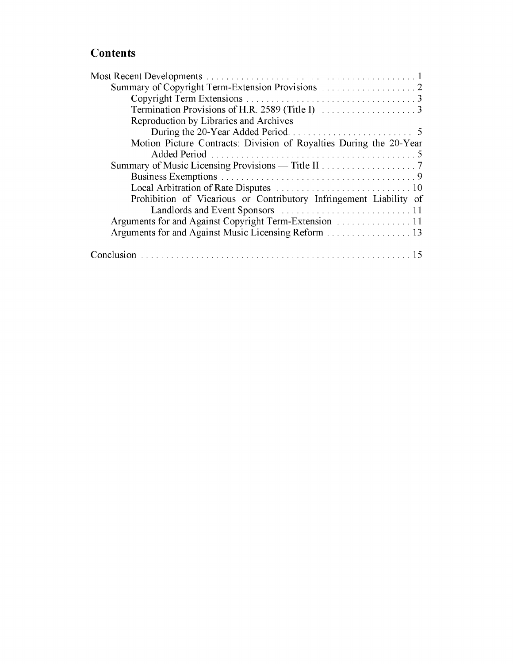#### **Contents**

| Summary of Copyright Term-Extension Provisions 2                   |
|--------------------------------------------------------------------|
|                                                                    |
|                                                                    |
| Reproduction by Libraries and Archives                             |
|                                                                    |
| Motion Picture Contracts: Division of Royalties During the 20-Year |
|                                                                    |
|                                                                    |
|                                                                    |
|                                                                    |
| Prohibition of Vicarious or Contributory Infringement Liability of |
|                                                                    |
|                                                                    |
| Arguments for and Against Music Licensing Reform 13                |
|                                                                    |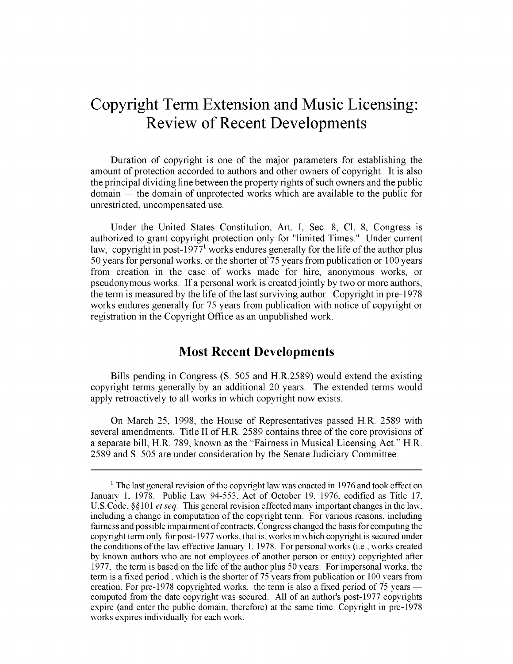### Copyright Term Extension and Music Licensing: Review of Recent Developments

Duration of copyright is one of the major parameters for establishing the amount of protection accorded to authors and other owners of copyright. It is also the principal dividing line between the property rights of such owners and the public domain **-** the domain of unprotected works which are available to the public for unrestricted, uncompensated use.

Under the United States Constitution, Art. I, Sec. 8, **Cl.** 8, Congress is authorized to grant copyright protection only for "limited Times." Under current law, copyright in post-1977<sup>1</sup> works endures generally for the life of the author plus 50 years for personal works, or the shorter of 75 years from publication or 100 years from creation in the case of works made for hire, anonymous works, or pseudonymous works. If a personal work is created jointly by two or more authors, the term is measured by the life of the last surviving author. Copyright in pre-1978 works endures generally for 75 years from publication with notice of copyright or registration in the Copyright Office as an unpublished work.

#### Most Recent Developments

Bills pending in Congress **(S.** 505 and H.R.2589) would extend the existing copyright terms generally by an additional 20 years. The extended terms would apply retroactively to all works in which copyright now exists.

On March 25, 1998, the House of Representatives passed H.R. 2589 with several amendments. Title II of H.R. 2589 contains three of the core provisions of a separate bill, H.R. 789, known as the "Fairness in Musical Licensing Act." H.R. 2589 and **S.** 505 are under consideration by the Senate Judiciary Committee.

<sup>&</sup>lt;sup>1</sup> The last general revision of the copyright law was enacted in 1976 and took effect on January 1. 1978. Public Law 94-553. Act of October 19. 1976. codified as Title 17. *U.S.Code.* §§101 *etseq.* This general revision effected many important changes in the law. including a change in computation of the copyright term. For various reasons, including fairness and possible impairment of contracts. Congress changed the basis for computing the copyright term only for post-1977 works, that is. works in which copyright is secured under the conditions of the law effective January 1. 1978. For personal works (i.e.. works created by known authors who are not employees of another person or entity) copyrighted after 1977. the term is based on the life of the author plus 50 years. For impersonal works, the term is a fixed period **,** which is the shorter of 75 years from publication or 100 years from creation. For pre-1978 copyrighted works, the term is also a fixed period of 75 years computed from the date copyright was secured. All of an author's post-1977 copyrights expire (and enter the public domain, therefore) at the same time. Copyright in pre-1978 works expires individually for each work.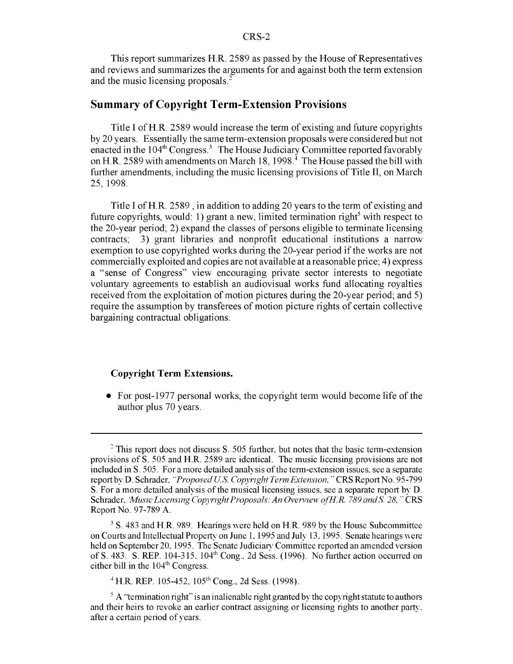This report summarizes H.R. 2589 as passed by the House of Representatives and reviews and summarizes the arguments for and against both the term extension and the music licensing proposals.<sup>2</sup>

#### Summary of Copyright Term-Extension Provisions

Title I of H.R. 2589 would increase the term of existing and future copyrights by 20 years. Essentially the same term-extension proposals were considered but not enacted in the  $104<sup>th</sup>$  Congress.<sup>3</sup> The House Judiciary Committee reported favorably on H.R. 2589 with amendments on March 18, 1998.<sup> $+$ </sup> The House passed the bill with further amendments, including the music licensing provisions of Title II, on March 25, 1998.

Title I of H.R. 2589, in addition to adding 20 years to the term of existing and future copyrights, would: 1) grant a new, limited termination right<sup>5</sup> with respect to the 20-year period; 2) expand the classes of persons eligible to terminate licensing contracts; 3) grant libraries and nonprofit educational institutions a narrow exemption to use copyrighted works during the 20-year period if the works are not commercially exploited and copies are not available at a reasonable price; 4) express a "sense of Congress" view encouraging private sector interests to negotiate voluntary agreements to establish an audiovisual works fund allocating royalties received from the exploitation of motion pictures during the 20-year period; and 5) require the assumption by transferees of motion picture rights of certain collective bargaining contractual obligations.

#### Copyright Term Extensions.

 $\bullet$  For post-1977 personal works, the copyright term would become life of the author plus 70 years.

<sup>&</sup>lt;sup>2</sup> This report does not discuss S. 505 further, but notes that the basic term-extension provisions of S. 505 and H.R. 2589 are identical. The music licensing provisions are not included in S. 505. For a more detailed analysis of the term-extension issues, see a separate report by D. Schrader. *"Proposed US. Copyright Term Extension, "* CRS Report No. 95-799 S. For a more detailed analysis of the musical licensing issues, see a separate report **by** D. Schrader. *Music Licensing Copyright Proposals: An Overview of H.R. 789 and S. 28,* "CRS Report No. 97-789 A.

**<sup>3</sup> S.** 483 and H.R. 989. Hearings were held on H.R. 989 **by** the House Subcommittee on Courts and Intellectual Property on June 1. 1995 and July 13. 1995. Senate hearings were held on September 20. 1995. The Senate Judiciary Committee reported an amended version of **S.** 483. **S.** REP. 104-315. 10 <sup>4</sup> th Cong.. 2d Sess. (1996). No further action occurred on either bill in the  $104<sup>th</sup> Congress$ .

 $4$  H.R. REP. 105-452, 105<sup>th</sup> Cong., 2d Sess. (1998).

<sup>&</sup>lt;sup>5</sup> A "termination right" is an inalienable right granted by the copyright statute to authors and their heirs to revoke an earlier contract assigning or licensing rights to another party. after a certain period of years.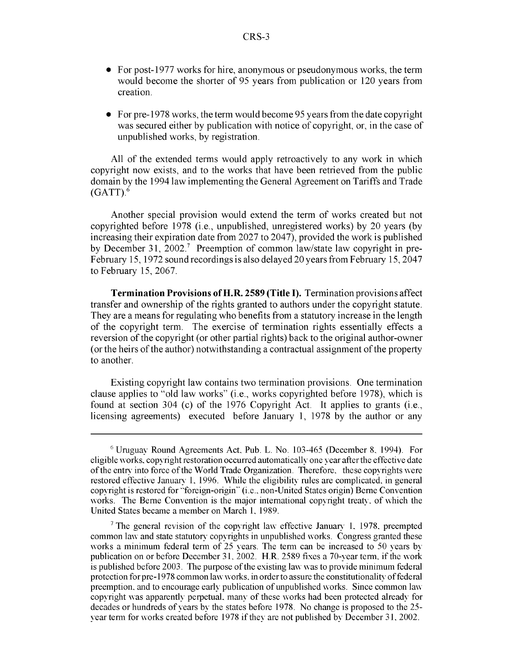- \* For post-1977 works for hire, anonymous or pseudonymous works, the term would become the shorter of 95 years from publication or 120 years from creation.
- For pre-1978 works, the term would become 95 years from the date copyright was secured either by publication with notice of copyright, or, in the case of unpublished works, by registration.

All of the extended terms would apply retroactively to any work in which copyright now exists, and to the works that have been retrieved from the public domain by the 1994 law implementing the General Agreement on Tariffs and Trade  $(GATT)$ .<sup>6</sup>

Another special provision would extend the term of works created but not copyrighted before 1978 (i.e., unpublished, unregistered works) by 20 years (by increasing their expiration date from 2027 to 2047), provided the work is published by December 31, 2002.<sup>7</sup> Preemption of common law/state law copyright in pre-February 15, 1972 sound recordings is also delayed 20 years from February 15, 2047 to February 15, 2067.

Termination Provisions of H.R. **2589** (Title **I).** Termination provisions affect transfer and ownership of the rights granted to authors under the copyright statute. They are a means for regulating who benefits from a statutory increase in the length of the copyright term. The exercise of termination rights essentially effects a reversion of the copyright (or other partial rights) back to the original author-owner (or the heirs of the author) notwithstanding a contractual assignment of the property to another.

Existing copyright law contains two termination provisions. One termination clause applies to "old law works" (i.e., works copyrighted before 1978), which is found at section 304 (c) of the 1976 Copyright Act. It applies to grants (i.e., licensing agreements) executed before January 1, 1978 by the author or any

**<sup>6</sup>**Uruguay Round Agreements Act. Pub. L. No. 103-465 (December 8. 1994). For eligible works, copyright restoration occurred automatically one year after the effective date of the entry into force of the World Trade Organization. Therefore, these copyrights were restored effective January 1. 1996. While the eligibility rules are complicated, in general copyright is restored for "foreign-origin" (i.e., non-United States origin) Berne Convention works. The Berne Convention is the major international copyright treaty, of which the United States became a member on March 1. 1989.

**<sup>7</sup>** The general revision of the copyright law effective January 1. 1978. preempted common law and state statutory copyrights in unpublished works. Congress granted these works a minimum federal term of  $25$  years. The term can be increased to  $50$  years by publication on or before December 31. 2002. H.R. 2589 fixes a 70-year term. if the work is published before 2003. The purpose of the existing law was to provide minimum federal protection for pre-1978 common law works, in order to assure the constitutionality of federal preemption, and to encourage early publication of unpublished works. Since common law copyright was apparently perpetual, many of these works had been protected already for decades or hundreds of years **bv** the states before 1978. No change is proposed to the 25 year term for works created before 1978 if they are not published **by** December 31. 2002.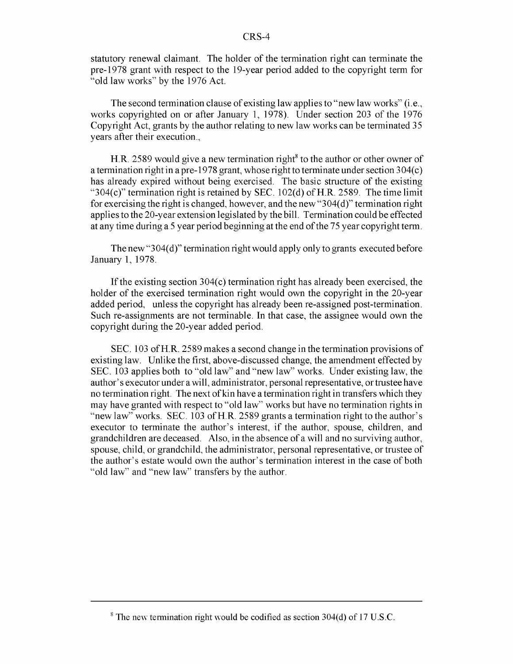statutory renewal claimant. The holder of the termination right can terminate the pre-1978 grant with respect to the 19-year period added to the copyright term for "old law works" by the 1976 Act.

The second termination clause of existing law applies to "new law works" (i.e., works copyrighted on or after January 1, 1978). Under section 203 of the 1976 Copyright Act, grants by the author relating to new law works can be terminated 35 years after their execution.,

H.R. 2589 would give a new termination right<sup>8</sup> to the author or other owner of a termination right in a pre- 1978 grant, whose right to terminate under section 304(c) has already expired without being exercised. The basic structure of the existing "304(c)" termination right is retained by SEC. 102(d) of H.R. 2589. The time limit for exercising the right is changed, however, and the new "304(d)" termination right applies to the 20-year extension legislated by the bill. Termination could be effected at any time during a 5 year period beginning at the end of the 75 year copyright term.

The new "304(d)" termination right would apply only to grants executed before January 1, 1978.

If the existing section 304(c) termination right has already been exercised, the holder of the exercised termination right would own the copyright in the 20-year added period, unless the copyright has already been re-assigned post-termination. Such re-assignments are not terminable. In that case, the assignee would own the copyright during the 20-year added period.

SEC. 103 of H.R. 2589 makes a second change in the termination provisions of existing law. Unlike the first, above-discussed change, the amendment effected by SEC. 103 applies both to "old law" and "new law" works. Under existing law, the author's executor under a will, administrator, personal representative, or trustee have no termination right. The next of kin have a termination right in transfers which they may have granted with respect to "old law" works but have no termination rights in "new law" works. SEC. 103 of H.R. 2589 grants a termination right to the author's executor to terminate the author's interest, if the author, spouse, children, and grandchildren are deceased. Also, in the absence of a will and no surviving author, spouse, child, or grandchild, the administrator, personal representative, or trustee of the author's estate would own the author's termination interest in the case of both "old law" and "new law" transfers by the author.

<sup>&</sup>lt;sup>8</sup> The new termination right would be codified as section 304(d) of 17 U.S.C.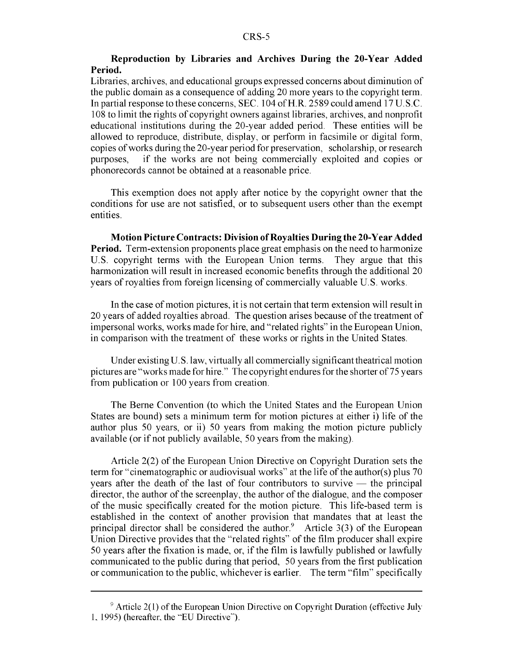#### Reproduction **by** Libraries and Archives During the 20-Year Added Period.

Libraries, archives, and educational groups expressed concerns about diminution of the public domain as a consequence of adding 20 more years to the copyright term. In partial response to these concerns, SEC. 104 of H.R. 2589 could amend 17 U.S.C. 108 to limit the rights of copyright owners against libraries, archives, and nonprofit educational institutions during the 20-year added period. These entities will be allowed to reproduce, distribute, display, or perform in facsimile or digital form, copies of works during the 20-year period for preservation, scholarship, or research purposes, if the works are not being commercially exploited and copies or phonorecords cannot be obtained at a reasonable price.

This exemption does not apply after notice by the copyright owner that the conditions for use are not satisfied, or to subsequent users other than the exempt entities.

Motion Picture Contracts: Division of Royalties During the 20-Year Added Period. Term-extension proponents place great emphasis on the need to harmonize U.S. copyright terms with the European Union terms. They argue that this harmonization will result in increased economic benefits through the additional 20 years of royalties from foreign licensing of commercially valuable U.S. works.

In the case of motion pictures, it is not certain that term extension will result in 20 years of added royalties abroad. The question arises because of the treatment of impersonal works, works made for hire, and "related rights" in the European Union, in comparison with the treatment of these works or rights in the United States.

Under existing **U.** S. law, virtually all commercially significant theatrical motion pictures are "works made for hire." The copyright endures for the shorter of 75 years from publication or 100 years from creation.

The Berne Convention (to which the United States and the European Union States are bound) sets a minimum term for motion pictures at either i) life of the author plus 50 years, or ii) 50 years from making the motion picture publicly available (or if not publicly available, 50 years from the making).

Article 2(2) of the European Union Directive on Copyright Duration sets the term for "cinematographic or audiovisual works" at the life of the author(s) plus 70 years after the death of the last of four contributors to survive **-** the principal director, the author of the screenplay, the author of the dialogue, and the composer of the music specifically created for the motion picture. This life-based term is established in the context of another provision that mandates that at least the principal director shall be considered the author.<sup>9</sup> Article 3(3) of the European Union Directive provides that the "related rights" of the film producer shall expire 50 years after the fixation is made, or, if the film is lawfully published or lawfully communicated to the public during that period, 50 years from the first publication or communication to the public, whichever is earlier. The term "film" specifically

<sup>&</sup>lt;sup>9</sup> Article 2(1) of the European Union Directive on Copyright Duration (effective July 1, 1995) (hereafter, the "EU Directive").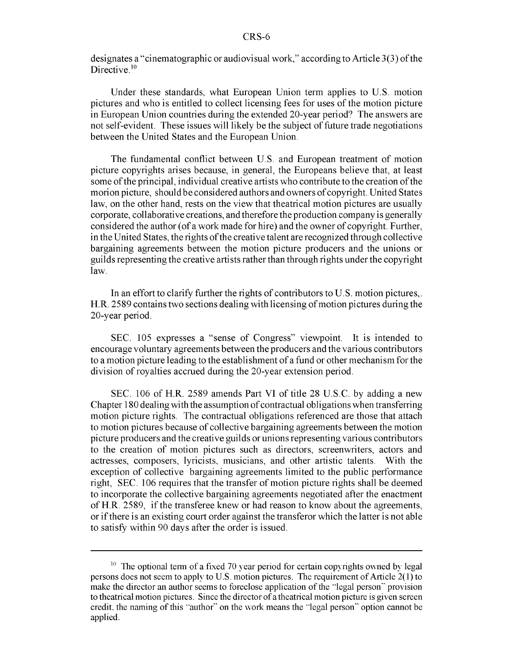designates a "cinematographic or audiovisual work," according to Article 3(3) of the Directive.<sup>1</sup>

Under these standards, what European Union term applies to U.S. motion pictures and who is entitled to collect licensing fees for uses of the motion picture in European Union countries during the extended 20-year period? The answers are not self-evident. These issues will likely be the subject of future trade negotiations between the United States and the European Union.

The fundamental conflict between U.S. and European treatment of motion picture copyrights arises because, in general, the Europeans believe that, at least some of the principal, individual creative artists who contribute to the creation of the morion picture, should be considered authors and owners of copyright. United States law, on the other hand, rests on the view that theatrical motion pictures are usually corporate, collaborative creations, and therefore the production company is generally considered the author (of a work made for hire) and the owner of copyright. Further, in the United States, the rights of the creative talent are recognized through collective bargaining agreements between the motion picture producers and the unions or guilds representing the creative artists rather than through rights under the copyright law.

In an effort to clarify further the rights of contributors to U.S. motion pictures,. H.R. 2589 contains two sections dealing with licensing of motion pictures during the 20-year period.

SEC. 105 expresses a "sense of Congress" viewpoint. It is intended to encourage voluntary agreements between the producers and the various contributors to a motion picture leading to the establishment of a fund or other mechanism for the division of royalties accrued during the 20-year extension period.

SEC. 106 of H.R. 2589 amends Part VI of title 28 U.S.C. by adding a new Chapter 180 dealing with the assumption of contractual obligations when transferring motion picture rights. The contractual obligations referenced are those that attach to motion pictures because of collective bargaining agreements between the motion picture producers and the creative guilds or unions representing various contributors to the creation of motion pictures such as directors, screenwriters, actors and actresses, composers, lyricists, musicians, and other artistic talents. With the exception of collective bargaining agreements limited to the public performance right, SEC. 106 requires that the transfer of motion picture rights shall be deemed to incorporate the collective bargaining agreements negotiated after the enactment of H.R. 2589, if the transferee knew or had reason to know about the agreements, or if there is an existing court order against the transferor which the latter is not able to satisfy within 90 days after the order is issued.

 $10$  The optional term of a fixed 70 year period for certain copyrights owned by legal persons does not seem to apply to U.S. motion pictures. The requirement of Article 2(1) to make the director an author seems to foreclose application of the "legal person" provision to theatrical motion pictures. Since the director of a theatrical motion picture is given screen credit, the naming of this "author" on the work means the "legal person" option cannot be applied.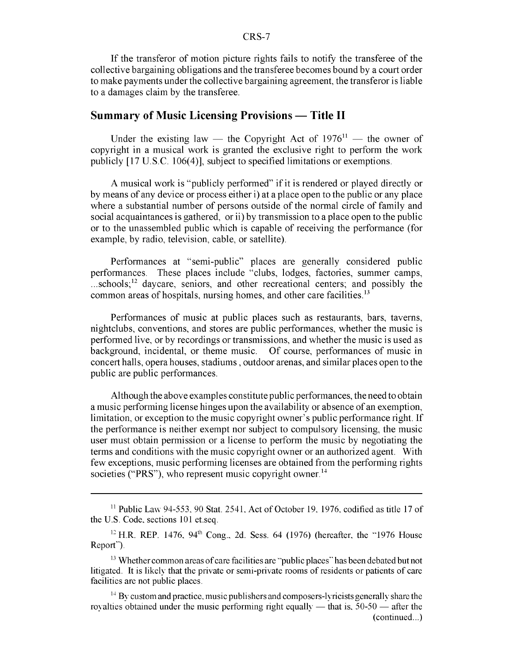If the transferor of motion picture rights fails to notify the transferee of the collective bargaining obligations and the transferee becomes bound by a court order to make payments under the collective bargaining agreement, the transferor is liable to a damages claim by the transferee.

#### Summary of Music Licensing Provisions – Title II

Under the existing law — the Copyright Act of  $1976<sup>11</sup>$  — the owner of copyright in a musical work is granted the exclusive right to perform the work publicly [ 17 U.S.C. 106(4)], subject to specified limitations or exemptions.

A musical work is "publicly performed" if it is rendered or played directly or by means of any device or process either i) at a place open to the public or any place where a substantial number of persons outside of the normal circle of family and social acquaintances is gathered, or ii) by transmission to a place open to the public or to the unassembled public which is capable of receiving the performance (for example, by radio, television, cable, or satellite).

Performances at "semi-public" places are generally considered public performances. These places include "clubs, lodges, factories, summer camps,  $...$ schools;<sup>12</sup> daycare, seniors, and other recreational centers; and possibly the common areas of hospitals, nursing homes, and other care facilities.<sup>13</sup>

Performances of music at public places such as restaurants, bars, taverns, nightclubs, conventions, and stores are public performances, whether the music is performed live, or by recordings or transmissions, and whether the music is used as background, incidental, or theme music. Of course, performances of music in concert halls, opera houses, stadiums, outdoor arenas, and similar places open to the public are public performances.

Although the above examples constitute public performances, the need to obtain a music performing license hinges upon the availability or absence of an exemption, limitation, or exception to the music copyright owner's public performance right. If the performance is neither exempt nor subject to compulsory licensing, the music user must obtain permission or a license to perform the music by negotiating the terms and conditions with the music copyright owner or an authorized agent. With few exceptions, music performing licenses are obtained from the performing rights societies ("PRS"), who represent music copyright owner.<sup>14</sup>

**<sup>11</sup>** Public Lav 94-553, 90 Stat. 2541, Act of October **19,** 1976, codified as title 17 of the U.S. Code, sections 101 et.seq.

 $12$  H.R. REP. 1476, 94<sup>th</sup> Cong., 2d. Sess. 64 (1976) (hereafter, the  $\cdot$ 1976 House Report").

<sup>&</sup>lt;sup>13</sup> Whether common areas of care facilities are "public places" has been debated but not litigated. It is likely that the private or semi-private rooms of residents or patients of care facilities are not public places.

 $14$  By custom and practice, music publishers and composers-lyricists generally share the royalties obtained under the music performing right equally **-** that is. 50-50 **-** after the (continued...)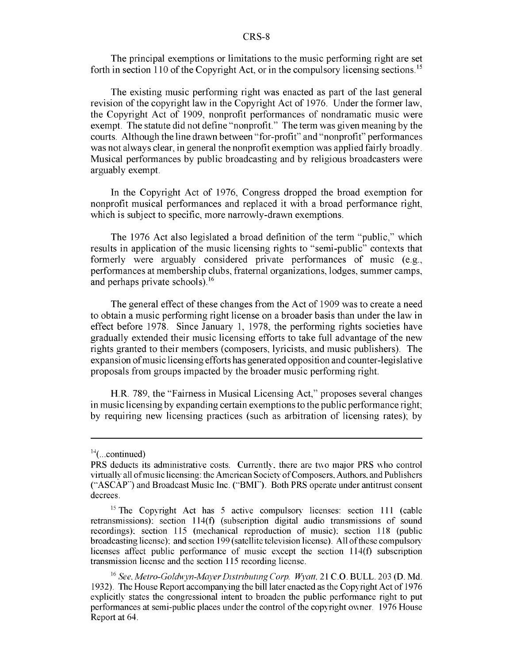The principal exemptions or limitations to the music performing right are set forth in section 110 of the Copyright Act, or in the compulsory licensing sections.15

The existing music performing right was enacted as part of the last general revision of the copyright law in the Copyright Act of 1976. Under the former law, the Copyright Act of 1909, nonprofit performances of nondramatic music were exempt. The statute did not define "nonprofit." The term was given meaning by the courts. Although the line drawn between "for-profit" and "nonprofit" performances was not always clear, in general the nonprofit exemption was applied fairly broadly. Musical performances by public broadcasting and by religious broadcasters were arguably exempt.

In the Copyright Act of 1976, Congress dropped the broad exemption for nonprofit musical performances and replaced it with a broad performance right, which is subject to specific, more narrowly-drawn exemptions.

The 1976 Act also legislated a broad definition of the term "public," which results in application of the music licensing rights to "semi-public" contexts that formerly were arguably considered private performances of music (e.g., performances at membership clubs, fraternal organizations, lodges, summer camps, and perhaps private schools).<sup>16</sup>

The general effect of these changes from the Act of 1909 was to create a need to obtain a music performing right license on a broader basis than under the law in effect before 1978. Since January 1, 1978, the performing rights societies have gradually extended their music licensing efforts to take full advantage of the new rights granted to their members (composers, lyricists, and music publishers). The expansion of music licensing efforts has generated opposition and counter-legislative proposals from groups impacted by the broader music performing right.

H.R. 789, the "Fairness in Musical Licensing Act," proposes several changes in music licensing by expanding certain exemptions to the public performance right; by requiring new licensing practices (such as arbitration of licensing rates); by

 $14$ (...continued)

PRS deducts its administrative costs. Currently, there are two major PRS who control virtually all of music licensing: the American Society of Composers, Authors, and Publishers ("ASCAP") and Broadcast Music Inc. ("BMI"). Both PRS operate under antitrust consent decrees.

 $^{15}$  The Copyright Act has 5 active compulsory licenses: section 111 (cable retransmissions), section 114(f) (subscription digital audio transmissions of sound recordings), section 115 (mechanical reproduction of music), section 118 (public broadcasting license), and section 199 (satellite television license). All of these compulsory licenses affect public performance of music except the section 114(f) subscription transmission license and the section 115 recording license.

<sup>&</sup>lt;sup>16</sup> See, Metro-Goldwyn-Mayer Distributing Corp. Wyatt, 21 C.O. BULL. 203 (D. Md. 1932). The House Report accompanying the bill later enacted as the Copyright Act of 1976 explicitly states the congressional intent to broaden the public performance right to put performances at semi-public places under the control of the copyright owner. 1976 House Report at 64.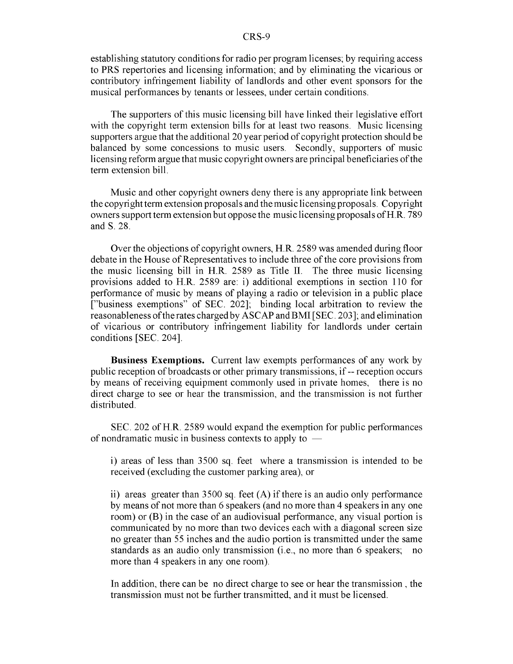establishing statutory conditions for radio per program licenses; by requiring access to PRS repertories and licensing information; and by eliminating the vicarious or contributory infringement liability of landlords and other event sponsors for the musical performances by tenants or lessees, under certain conditions.

The supporters of this music licensing bill have linked their legislative effort with the copyright term extension bills for at least two reasons. Music licensing supporters argue that the additional 20 year period of copyright protection should be balanced by some concessions to music users. Secondly, supporters of music licensing reform argue that music copyright owners are principal beneficiaries of the term extension bill.

Music and other copyright owners deny there is any appropriate link between the copyright term extension proposals and the music licensing proposals. Copyright owners support term extension but oppose the music licensing proposals of H.R. 789 and **S.** 28.

Over the objections of copyright owners, H.R. 2589 was amended during floor debate in the House of Representatives to include three of the core provisions from the music licensing bill in H.R. 2589 as Title II. The three music licensing provisions added to H.R. 2589 are: i) additional exemptions in section 110 for performance of music by means of playing a radio or television in a public place ["business exemptions" of SEC. 202]; binding local arbitration to review the reasonableness of the rates charged by ASCAP and BMI [SEC. 203]; and elimination of vicarious or contributory infringement liability for landlords under certain conditions [SEC. 204].

Business Exemptions. Current law exempts performances of any work by public reception of broadcasts or other primary transmissions, if-- reception occurs by means of receiving equipment commonly used in private homes, there is no direct charge to see or hear the transmission, and the transmission is not further distributed.

SEC. 202 of H.R. 2589 would expand the exemption for public performances of nondramatic music in business contexts to apply to **-**

i) areas of less than 3500 sq. feet where a transmission is intended to be received (excluding the customer parking area), or

ii) areas greater than 3500 sq. feet (A) if there is an audio only performance by means of not more than 6 speakers (and no more than 4 speakers in any one room) or (B) in the case of an audiovisual performance, any visual portion is communicated by no more than two devices each with a diagonal screen size no greater than 55 inches and the audio portion is transmitted under the same standards as an audio only transmission (i.e., no more than 6 speakers; no more than 4 speakers in any one room).

In addition, there can be no direct charge to see or hear the transmission, the transmission must not be further transmitted, and it must be licensed.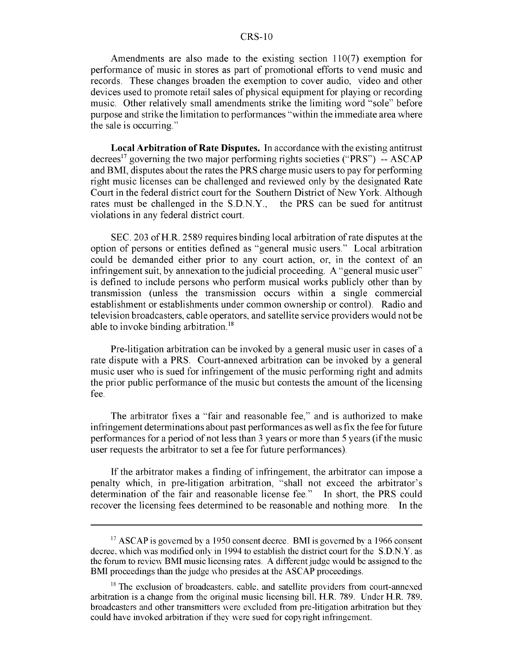Amendments are also made to the existing section 110(7) exemption for performance of music in stores as part of promotional efforts to vend music and records. These changes broaden the exemption to cover audio, video and other devices used to promote retail sales of physical equipment for playing or recording music. Other relatively small amendments strike the limiting word "sole" before purpose and strike the limitation to performances "within the immediate area where the sale is occurring."

Local Arbitration of Rate Disputes. In accordance with the existing antitrust decrees<sup>17</sup> governing the two major performing rights societies ("PRS") -- ASCAP and BMI, disputes about the rates the PRS charge music users to pay for performing right music licenses can be challenged and reviewed only by the designated Rate Court in the federal district court for the Southern District of New York. Although rates must be challenged in the S.D.N.Y., the PRS can be sued for antitrust violations in any federal district court.

SEC. 203 of H.R. 2589 requires binding local arbitration of rate disputes at the option of persons or entities defined as "general music users." Local arbitration could be demanded either prior to any court action, or, in the context of an infringement suit, by annexation to the judicial proceeding. A "general music user" is defined to include persons who perform musical works publicly other than by transmission (unless the transmission occurs within a single commercial establishment or establishments under common ownership or control). Radio and television broadcasters, cable operators, and satellite service providers would not be able to invoke binding arbitration.<sup>18</sup>

Pre-litigation arbitration can be invoked by a general music user in cases of a rate dispute with a PRS. Court-annexed arbitration can be invoked by a general music user who is sued for infringement of the music performing right and admits the prior public performance of the music but contests the amount of the licensing fee.

The arbitrator fixes a "fair and reasonable fee," and is authorized to make infringement determinations about past performances as well as fix the fee for future performances for a period of not less than 3 years or more than 5 years (if the music user requests the arbitrator to set a fee for future performances).

If the arbitrator makes a finding of infringement, the arbitrator can impose a penalty which, in pre-litigation arbitration, "shall not exceed the arbitrator's determination of the fair and reasonable license fee." In short, the PRS could recover the licensing fees determined to be reasonable and nothing more. In the

<sup>&</sup>lt;sup>17</sup> ASCAP is governed by a 1950 consent decree. BMI is governed by a 1966 consent decree, which was modified only in 1994 to establish the district court for the S.D.N.Y. as the forum to review BMI music licensing rates. A different judge would be assigned to the BMI proceedings than the judge who presides at the ASCAP proceedings.

 $18$  The exclusion of broadcasters, cable, and satellite providers from court-annexed arbitration is a change from the original music licensing bill. H.R. 789. Under H.R. 789. broadcasters and other transmitters were excluded from pre-litigation arbitration but they could have invoked arbitration if they were sued for copyright infringement.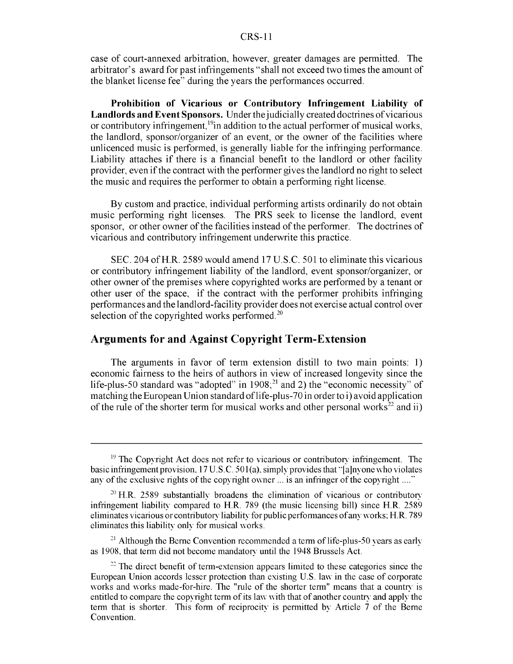case of court-annexed arbitration, however, greater damages are permitted. The arbitrator's award for past infringements "shall not exceed two times the amount of the blanket license fee" during the years the performances occurred.

Prohibition of Vicarious or Contributory Infringement Liability of Landlords and Event Sponsors. Under the judicially created doctrines of vicarious or contributory infringement,<sup>19</sup>in addition to the actual performer of musical works, the landlord, sponsor/organizer of an event, or the owner of the facilities where unlicenced music is performed, is generally liable for the infringing performance. Liability attaches if there is a financial benefit to the landlord or other facility provider, even if the contract with the performer gives the landlord no right to select the music and requires the performer to obtain a performing right license.

By custom and practice, individual performing artists ordinarily do not obtain music performing right licenses. The PRS seek to license the landlord, event sponsor, or other owner of the facilities instead of the performer. The doctrines of vicarious and contributory infringement underwrite this practice.

SEC. 204 of H.R. 2589 would amend 17 U.S.C. 501 to eliminate this vicarious or contributory infringement liability of the landlord, event sponsor/organizer, or other owner of the premises where copyrighted works are performed by a tenant or other user of the space, if the contract with the performer prohibits infringing performances and the landlord-facility provider does not exercise actual control over selection of the copyrighted works performed.<sup>20</sup>

#### Arguments for and Against Copyright Term-Extension

The arguments in favor of term extension distill to two main points: 1) economic fairness to the heirs of authors in view of increased longevity since the life-plus-50 standard was "adopted" in  $1908$ ;<sup>21</sup> and 2) the "economic necessity" of matching the European Union standard of life-plus-70 in order to i) avoid application of the rule of the shorter term for musical works and other personal works<sup>22</sup> and ii)

 $21$  Although the Berne Convention recommended a term of life-plus-50 years as early as 1908, that term did not become mandatory until the 1948 Brussels Act.

 $19$  The Copyright Act does not refer to vicarious or contributory infringement. The basic infringement provision,  $17$  U.S.C.  $501(a)$ , simply provides that "[a]nyone who violates any of the exclusive rights of the copyright owner ... is an infringer of the copyright **......**

 $20$  H.R. 2589 substantially broadens the elimination of vicarious or contributory infringement liability compared to H.R. 789 (the music licensing bill) since H.R. 2589 eliminates vicarious or contributory liability for public performances of any works; H.R. 789 eliminates this liability only for musical works.

<sup>&</sup>lt;sup>22</sup> The direct benefit of term-extension appears limited to these categories since the European Union accords lesser protection than existing U.S. law in the case of corporate works and works made-for-hire. The "rule of the shorter term" means that a country is entitled to compare the copyright term of its law with that of another country and apply the term that is shorter. This form of reciprocity is permitted **by** Article 7 of the Berne Convention.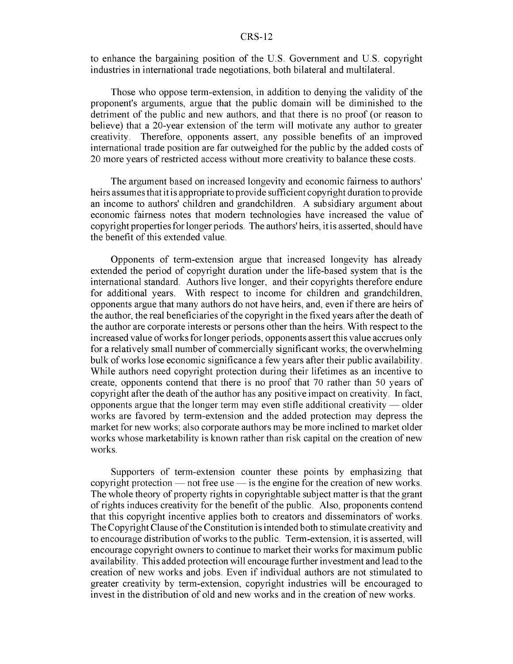to enhance the bargaining position of the U.S. Government and U.S. copyright industries in international trade negotiations, both bilateral and multilateral.

Those who oppose term-extension, in addition to denying the validity of the proponent's arguments, argue that the public domain will be diminished to the detriment of the public and new authors, and that there is no proof (or reason to believe) that a 20-year extension of the term will motivate any author to greater creativity. Therefore, opponents assert, any possible benefits of an improved international trade position are far outweighed for the public by the added costs of 20 more years of restricted access without more creativity to balance these costs.

The argument based on increased longevity and economic fairness to authors' heirs assumes that it is appropriate to provide sufficient copyright duration to provide an income to authors' children and grandchildren. A subsidiary argument about economic fairness notes that modern technologies have increased the value of copyright properties for longer periods. The authors' heirs, it is asserted, should have the benefit of this extended value.

Opponents of term-extension argue that increased longevity has already extended the period of copyright duration under the life-based system that is the international standard. Authors live longer, and their copyrights therefore endure for additional years. With respect to income for children and grandchildren, opponents argue that many authors do not have heirs, and, even if there are heirs of the author, the real beneficiaries of the copyright in the fixed years after the death of the author are corporate interests or persons other than the heirs. With respect to the increased value of works for longer periods, opponents assert this value accrues only for a relatively small number of commercially significant works; the overwhelming bulk of works lose economic significance a few years after their public availability. While authors need copyright protection during their lifetimes as an incentive to create, opponents contend that there is no proof that 70 rather than 50 years of copyright after the death of the author has any positive impact on creativity. In fact, opponents argue that the longer term may even stifle additional creativity **-** older works are favored by term-extension and the added protection may depress the market for new works; also corporate authors may be more inclined to market older works whose marketability is known rather than risk capital on the creation of new works.

Supporters of term-extension counter these points by emphasizing that copyright protection **-** not free use **-** is the engine for the creation of new works. The whole theory of property rights in copyrightable subject matter is that the grant of rights induces creativity for the benefit of the public. Also, proponents contend that this copyright incentive applies both to creators and disseminators of works. The Copyright Clause of the Constitution is intended both to stimulate creativity and to encourage distribution of works to the public. Term-extension, it is asserted, will encourage copyright owners to continue to market their works for maximum public availability. This added protection will encourage further investment and lead to the creation of new works and jobs. Even if individual authors are not stimulated to greater creativity by term-extension, copyright industries will be encouraged to invest in the distribution of old and new works and in the creation of new works.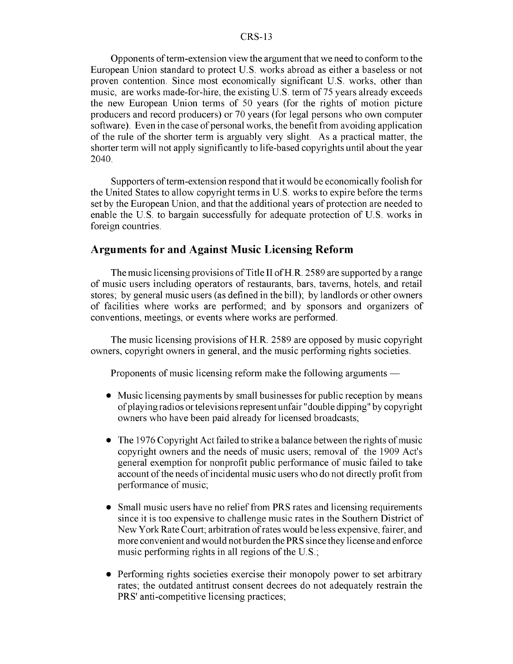Opponents of term-extension view the argument that we need to conform to the European Union standard to protect U.S. works abroad as either a baseless or not proven contention. Since most economically significant U.S. works, other than music, are works made-for-hire, the existing U.S. term of 75 years already exceeds the new European Union terms of 50 years (for the rights of motion picture producers and record producers) or 70 years (for legal persons who own computer software). Even in the case of personal works, the benefit from avoiding application of the rule of the shorter term is arguably very slight. As a practical matter, the shorter term will not apply significantly to life-based copyrights until about the year 2040.

Supporters of term-extension respond that it would be economically foolish for the United States to allow copyright terms in U.S. works to expire before the terms set by the European Union, and that the additional years of protection are needed to enable the U.S. to bargain successfully for adequate protection of U.S. works in foreign countries.

#### Arguments for and Against Music Licensing Reform

The music licensing provisions of Title II of H.R. 2589 are supported by a range of music users including operators of restaurants, bars, taverns, hotels, and retail stores; by general music users (as defined in the bill); by landlords or other owners of facilities where works are performed; and by sponsors and organizers of conventions, meetings, or events where works are performed.

The music licensing provisions of H.R. 2589 are opposed by music copyright owners, copyright owners in general, and the music performing rights societies.

Proponents of music licensing reform make the following arguments **-**

- Music licensing payments by small businesses for public reception by means of playing radios or televisions represent unfair "double dipping" by copyright owners who have been paid already for licensed broadcasts;
- The 1976 Copyright Act failed to strike a balance between the rights of music copyright owners and the needs of music users; removal of the 1909 Act's general exemption for nonprofit public performance of music failed to take account of the needs of incidental music users who do not directly profit from performance of music;
- Small music users have no relief from PRS rates and licensing requirements since it is too expensive to challenge music rates in the Southern District of New York Rate Court; arbitration of rates would be less expensive, fairer, and more convenient and would not burden the PRS since they license and enforce music performing rights in all regions of the U.S.;
- Performing rights societies exercise their monopoly power to set arbitrary rates; the outdated antitrust consent decrees do not adequately restrain the PRS' anti-competitive licensing practices;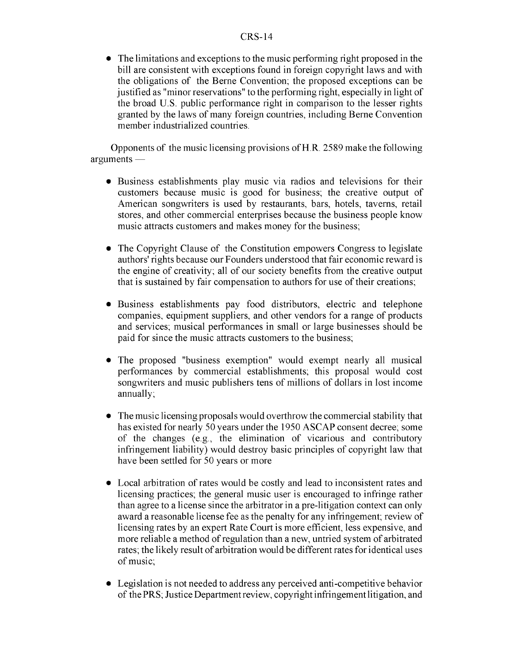The limitations and exceptions to the music performing right proposed in the bill are consistent with exceptions found in foreign copyright laws and with the obligations of the Berne Convention; the proposed exceptions can be justified as "minor reservations" to the performing right, especially in light of the broad U.S. public performance right in comparison to the lesser rights granted by the laws of many foreign countries, including Berne Convention member industrialized countries.

Opponents of the music licensing provisions of H.R. 2589 make the following arguments **-**

- Business establishments play music via radios and televisions for their customers because music is good for business; the creative output of American songwriters is used by restaurants, bars, hotels, taverns, retail stores, and other commercial enterprises because the business people know music attracts customers and makes money for the business;
- The Copyright Clause of the Constitution empowers Congress to legislate authors' rights because our Founders understood that fair economic reward is the engine of creativity; all of our society benefits from the creative output that is sustained by fair compensation to authors for use of their creations;
- Business establishments pay food distributors, electric and telephone companies, equipment suppliers, and other vendors for a range of products and services; musical performances in small or large businesses should be paid for since the music attracts customers to the business;
- The proposed "business exemption" would exempt nearly all musical performances by commercial establishments; this proposal would cost songwriters and music publishers tens of millions of dollars in lost income annually;
- The music licensing proposals would overthrow the commercial stability that has existed for nearly 50 years under the 1950 ASCAP consent decree; some of the changes (e.g., the elimination of vicarious and contributory infringement liability) would destroy basic principles of copyright law that have been settled for 50 years or more
- Local arbitration of rates would be costly and lead to inconsistent rates and licensing practices; the general music user is encouraged to infringe rather than agree to a license since the arbitrator in a pre-litigation context can only award a reasonable license fee as the penalty for any infringement; review of licensing rates by an expert Rate Court is more efficient, less expensive, and more reliable a method of regulation than a new, untried system of arbitrated rates; the likely result of arbitration would be different rates for identical uses of music;
- Legislation is not needed to address any perceived anti-competitive behavior of the PRS; Justice Department review, copyright infringement litigation, and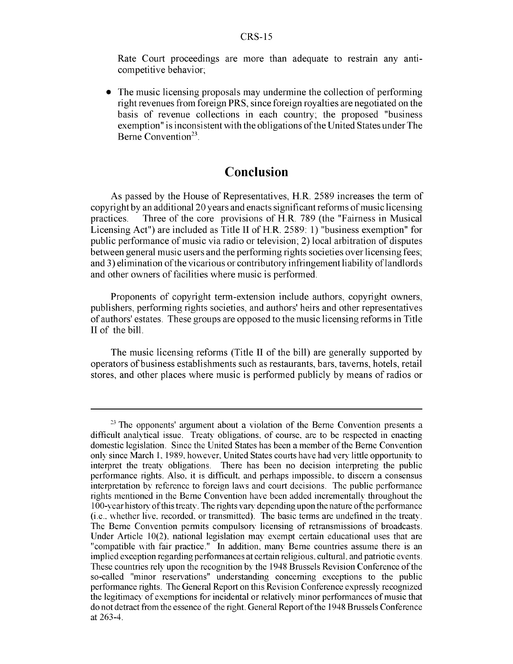Rate Court proceedings are more than adequate to restrain any anticompetitive behavior;

**9** The music licensing proposals may undermine the collection of performing right revenues from foreign PRS, since foreign royalties are negotiated on the basis of revenue collections in each country; the proposed "business exemption" is inconsistent with the obligations of the United States under The Berne Convention $^{23}$ .

#### Conclusion

As passed by the House of Representatives, H.R. 2589 increases the term of copyright by an additional 20 years and enacts significant reforms of music licensing practices. Three of the core provisions of H.R. 789 (the "Fairness in Musical Licensing Act") are included as Title II of H.R. 2589: 1) "business exemption" for public performance of music via radio or television; 2) local arbitration of disputes between general music users and the performing rights societies over licensing fees; and 3) elimination of the vicarious or contributory infringement liability of landlords and other owners of facilities where music is performed.

Proponents of copyright term-extension include authors, copyright owners, publishers, performing rights societies, and authors' heirs and other representatives of authors' estates. These groups are opposed to the music licensing reforms in Title II of the bill.

The music licensing reforms (Title II of the bill) are generally supported by operators of business establishments such as restaurants, bars, taverns, hotels, retail stores, and other places where music is performed publicly by means of radios or

 $23$  The opponents' argument about a violation of the Berne Convention presents a difficult analytical issue. Treaty obligations, of course, are to be respected in enacting domestic legislation. Since the United States has been a member of the Berne Convention only since March 1. 1989. however. United States courts have had very little opportunity to interpret the treaty obligations. There has been no decision interpreting the public performance rights. Also, it is difficult, and perhaps impossible, to discern a consensus interpretation by reference to foreign laws and court decisions. The public performance rights mentioned in the Berne Convention have been added incrementally throughout the **I** 00-year history of this treaty. The rights vary depending upon the nature ofthe performance (i.e.. whether live, recorded, or transmitted). The basic terms are undefined in the treaty. The Berne Convention permits compulsory licensing of retransmissions of broadcasts. Under Article 10(2). national legislation may exempt certain educational uses that are "compatible with fair practice." In addition, many Berne countries assume there is an implied exception regarding performances at certain religious, cultural, and patriotic events. These countries rely upon the recognition by the 1948 Brussels Revision Conference of the so-called "minor reservations" understanding concerning exceptions to the public performance rights. The General Report on this Revision Conference expressly recognized the legitimacy of exemptions for incidental or relatively minor performances of music that do not detract from the essence of the right. General Report of the 1948 Brussels Conference at 263-4.